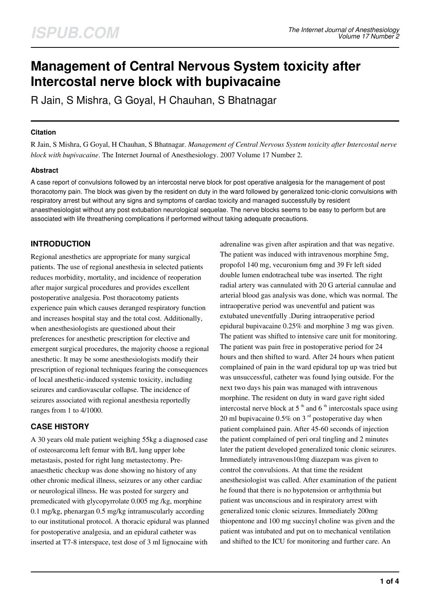# **Management of Central Nervous System toxicity after Intercostal nerve block with bupivacaine**

R Jain, S Mishra, G Goyal, H Chauhan, S Bhatnagar

### **Citation**

R Jain, S Mishra, G Goyal, H Chauhan, S Bhatnagar. *Management of Central Nervous System toxicity after Intercostal nerve block with bupivacaine*. The Internet Journal of Anesthesiology. 2007 Volume 17 Number 2.

## **Abstract**

A case report of convulsions followed by an intercostal nerve block for post operative analgesia for the management of post thoracotomy pain. The block was given by the resident on duty in the ward followed by generalized tonic-clonic convulsions with respiratory arrest but without any signs and symptoms of cardiac toxicity and managed successfully by resident anaesthesiologist without any post extubation neurological sequelae. The nerve blocks seems to be easy to perform but are associated with life threathening complications if performed without taking adequate precautions.

# **INTRODUCTION**

Regional anesthetics are appropriate for many surgical patients. The use of regional anesthesia in selected patients reduces morbidity, mortality, and incidence of reoperation after major surgical procedures and provides excellent postoperative analgesia. Post thoracotomy patients experience pain which causes deranged respiratory function and increases hospital stay and the total cost. Additionally, when anesthesiologists are questioned about their preferences for anesthetic prescription for elective and emergent surgical procedures, the majority choose a regional anesthetic. It may be some anesthesiologists modify their prescription of regional techniques fearing the consequences of local anesthetic-induced systemic toxicity, including seizures and cardiovascular collapse. The incidence of seizures associated with regional anesthesia reportedly ranges from 1 to 4/1000.

# **CASE HISTORY**

A 30 years old male patient weighing 55kg a diagnosed case of osteosarcoma left femur with B/L lung upper lobe metastasis, posted for right lung metastectomy. Preanaesthetic checkup was done showing no history of any other chronic medical illness, seizures or any other cardiac or neurological illness. He was posted for surgery and premedicated with glycopyrrolate 0.005 mg /kg, morphine 0.1 mg/kg, phenargan 0.5 mg/kg intramuscularly according to our institutional protocol. A thoracic epidural was planned for postoperative analgesia, and an epidural catheter was inserted at T7-8 interspace, test dose of 3 ml lignocaine with

adrenaline was given after aspiration and that was negative. The patient was induced with intravenous morphine 5mg, propofol 140 mg, vecuronium 6mg and 39 Fr left sided double lumen endotracheal tube was inserted. The right radial artery was cannulated with 20 G arterial cannulae and arterial blood gas analysis was done, which was normal. The intraoperative period was uneventful and patient was extubated uneventfully .During intraoperative period epidural bupivacaine 0.25% and morphine 3 mg was given. The patient was shifted to intensive care unit for monitoring. The patient was pain free in postoperative period for 24 hours and then shifted to ward. After 24 hours when patient complained of pain in the ward epidural top up was tried but was unsuccessful, catheter was found lying outside. For the next two days his pain was managed with intravenous morphine. The resident on duty in ward gave right sided intercostal nerve block at 5<sup>th</sup> and 6<sup>th</sup> intercostals space using 20 ml bupivacaine  $0.5\%$  on 3<sup>rd</sup> postoperative day when patient complained pain. After 45-60 seconds of injection the patient complained of peri oral tingling and 2 minutes later the patient developed generalized tonic clonic seizures. Immediately intravenous10mg diazepam was given to control the convulsions. At that time the resident anesthesiologist was called. After examination of the patient he found that there is no hypotension or arrhythmia but patient was unconscious and in respiratory arrest with generalized tonic clonic seizures. Immediately 200mg thiopentone and 100 mg succinyl choline was given and the patient was intubated and put on to mechanical ventilation and shifted to the ICU for monitoring and further care. An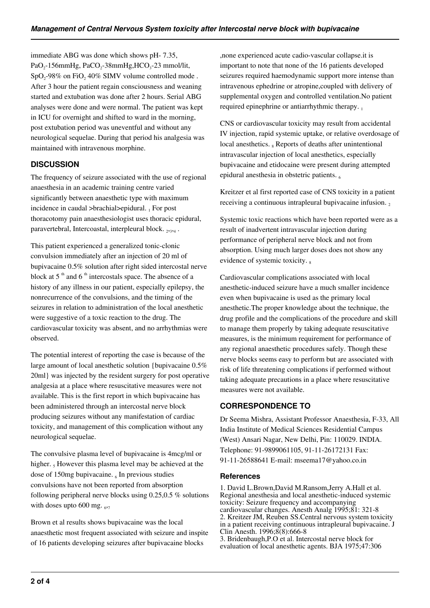immediate ABG was done which shows pH- 7.35,  $PaO<sub>2</sub>$ -156mmHg, PaCO<sub>2</sub>-38mmHg,HCO<sub>3</sub>-23 mmol/lit,  $SpO<sub>2</sub>$ -98% on FiO<sub>2</sub> 40% SIMV volume controlled mode. After 3 hour the patient regain consciousness and weaning started and extubation was done after 2 hours. Serial ABG analyses were done and were normal. The patient was kept in ICU for overnight and shifted to ward in the morning, post extubation period was uneventful and without any neurological sequelae. During that period his analgesia was maintained with intravenous morphine.

## **DISCUSSION**

The frequency of seizure associated with the use of regional anaesthesia in an academic training centre varied significantly between anaesthetic type with maximum incidence in caudal >brachial>epidural. 1 For post thoracotomy pain anaesthesiologist uses thoracic epidural, paravertebral, Intercoastal, interpleural block. 2,3,4.

This patient experienced a generalized tonic-clonic convulsion immediately after an injection of 20 ml of bupivacaine 0.5% solution after right sided intercostal nerve block at  $5<sup>th</sup>$  and  $6<sup>th</sup>$  intercostals space. The absence of a history of any illness in our patient, especially epilepsy, the nonrecurrence of the convulsions, and the timing of the seizures in relation to administration of the local anesthetic were suggestive of a toxic reaction to the drug. The cardiovascular toxicity was absent, and no arrhythmias were observed.

The potential interest of reporting the case is because of the large amount of local anesthetic solution {bupivacaine 0.5% 20ml} was injected by the resident surgery for post operative analgesia at a place where resuscitative measures were not available. This is the first report in which bupivacaine has been administered through an intercostal nerve block producing seizures without any manifestation of cardiac toxicity, and management of this complication without any neurological sequelae.

The convulsive plasma level of bupivacaine is 4mcg/ml or higher. <sub>5</sub> However this plasma level may be achieved at the dose of 150mg bupivacaine.  $_6$  In previous studies convulsions have not been reported from absorption following peripheral nerve blocks using 0.25,0.5 % solutions with doses upto  $600$  mg.  $_{6,7}$ 

Brown et al results shows bupivacaine was the local anaesthetic most frequent associated with seizure and inspite of 16 patients developing seizures after bupivacaine blocks

,none experienced acute cadio-vascular collapse.it is important to note that none of the 16 patients developed seizures required haemodynamic support more intense than intravenous ephedrine or atropine,coupled with delivery of supplemental oxygen and controlled ventilation.No patient required epinephrine or antiarrhythmic therapy.

CNS or cardiovascular toxicity may result from accidental IV injection, rapid systemic uptake, or relative overdosage of local anesthetics. 8 Reports of deaths after unintentional intravascular injection of local anesthetics, especially bupivacaine and etidocaine were present during attempted epidural anesthesia in obstetric patients. <sup>6</sup>

Kreitzer et al first reported case of CNS toxicity in a patient receiving a continuous intrapleural bupivacaine infusion.

Systemic toxic reactions which have been reported were as a result of inadvertent intravascular injection during performance of peripheral nerve block and not from absorption. Using much larger doses does not show any evidence of systemic toxicity.

Cardiovascular complications associated with local anesthetic-induced seizure have a much smaller incidence even when bupivacaine is used as the primary local anesthetic.The proper knowledge about the technique, the drug profile and the complications of the procedure and skill to manage them properly by taking adequate resuscitative measures, is the minimum requirement for performance of any regional anaesthetic procedures safely. Though these nerve blocks seems easy to perform but are associated with risk of life threatening complications if performed without taking adequate precautions in a place where resuscitative measures were not available.

# **CORRESPONDENCE TO**

Dr Seema Mishra, Assistant Professor Anaesthesia, F-33, All India Institute of Medical Sciences Residential Campus (West) Ansari Nagar, New Delhi, Pin: 110029. INDIA. Telephone: 91-9899061105, 91-11-26172131 Fax: 91-11-26588641 E-mail: mseema17@yahoo.co.in

#### **References**

1. David L.Brown,David M.Ransom,Jerry A.Hall et al. Regional anesthesia and local anesthetic-induced systemic toxicity: Seizure frequency and accompanying cardiovascular changes. Anesth Analg 1995;81: 321-8 2. Kreitzer JM, Reuben SS.Central nervous system toxicity in a patient receiving continuous intrapleural bupivacaine. J Clin Anesth. 1996;8(8):666-8 3. Bridenbaugh,P.O et al. Intercostal nerve block for

evaluation of local anesthetic agents. BJA 1975;47:306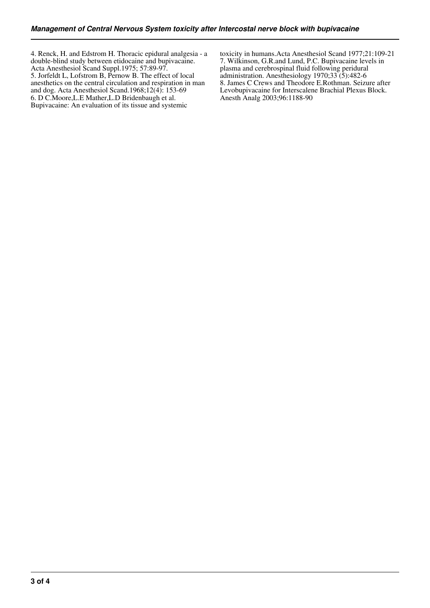4. Renck, H. and Edstrom H. Thoracic epidural analgesia - a double-blind study between etidocaine and bupivacaine. Acta Anesthesiol Scand Suppl.1975; 57:89-97. 5. Jorfeldt L, Lofstrom B, Pernow B. The effect of local anesthetics on the central circulation and respiration in man and dog. Acta Anesthesiol Scand.1968;12(4): 153-69 6. D C.Moore,L.E Mather,L.D Bridenbaugh et al. Bupivacaine: An evaluation of its tissue and systemic

toxicity in humans.Acta Anesthesiol Scand 1977;21:109-21 7. Wilkinson, G.R.and Lund, P.C. Bupivacaine levels in plasma and cerebrospinal fluid following peridural administration. Anesthesiology  $1970;33(5):482-6$ 8. James C Crews and Theodore E.Rothman. Seizure after Levobupivacaine for Interscalene Brachial Plexus Block. Anesth Analg 2003;96:1188-90